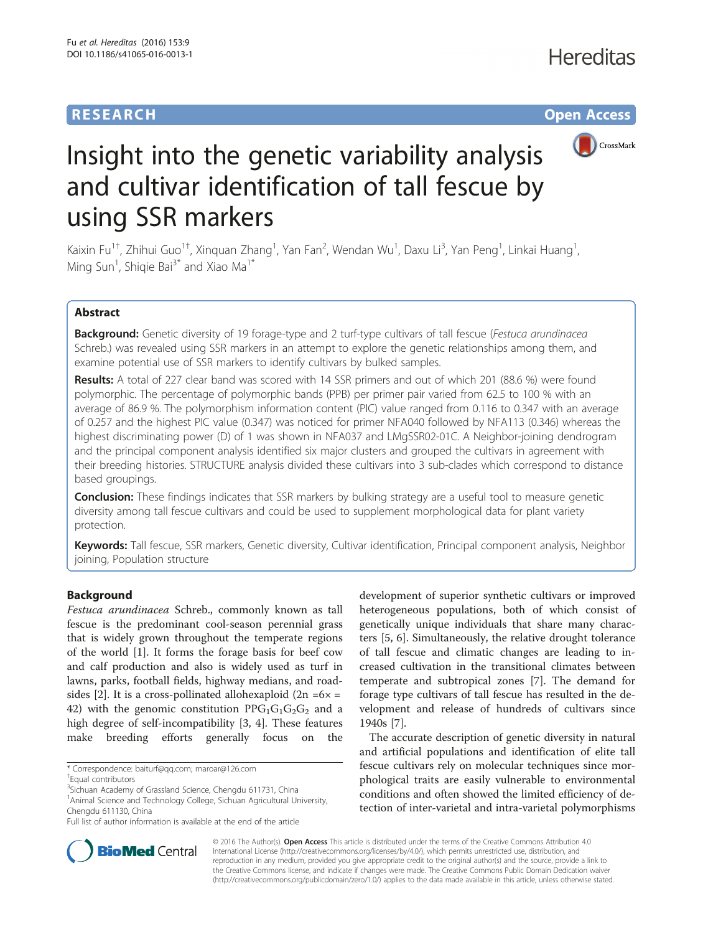# **RESEARCH CHE Open Access**



# Insight into the genetic variability analysis and cultivar identification of tall fescue by using SSR markers

Kaixin Fu<sup>1†</sup>, Zhihui Guo<sup>1†</sup>, Xinquan Zhang<sup>1</sup>, Yan Fan<sup>2</sup>, Wendan Wu<sup>1</sup>, Daxu Li<sup>3</sup>, Yan Peng<sup>1</sup>, Linkai Huang<sup>1</sup> , Ming Sun<sup>1</sup>, Shiqie Bai<sup>3\*</sup> and Xiao Ma<sup>1\*</sup>

# Abstract

Background: Genetic diversity of 19 forage-type and 2 turf-type cultivars of tall fescue (Festuca arundinacea Schreb.) was revealed using SSR markers in an attempt to explore the genetic relationships among them, and examine potential use of SSR markers to identify cultivars by bulked samples.

Results: A total of 227 clear band was scored with 14 SSR primers and out of which 201 (88.6 %) were found polymorphic. The percentage of polymorphic bands (PPB) per primer pair varied from 62.5 to 100 % with an average of 86.9 %. The polymorphism information content (PIC) value ranged from 0.116 to 0.347 with an average of 0.257 and the highest PIC value (0.347) was noticed for primer NFA040 followed by NFA113 (0.346) whereas the highest discriminating power (D) of 1 was shown in NFA037 and LMgSSR02-01C. A Neighbor-joining dendrogram and the principal component analysis identified six major clusters and grouped the cultivars in agreement with their breeding histories. STRUCTURE analysis divided these cultivars into 3 sub-clades which correspond to distance based groupings.

**Conclusion:** These findings indicates that SSR markers by bulking strategy are a useful tool to measure genetic diversity among tall fescue cultivars and could be used to supplement morphological data for plant variety protection.

Keywords: Tall fescue, SSR markers, Genetic diversity, Cultivar identification, Principal component analysis, Neighbor joining, Population structure

# Background

Festuca arundinacea Schreb., commonly known as tall fescue is the predominant cool-season perennial grass that is widely grown throughout the temperate regions of the world [\[1\]](#page-7-0). It forms the forage basis for beef cow and calf production and also is widely used as turf in lawns, parks, football fields, highway medians, and road-sides [[2\]](#page-7-0). It is a cross-pollinated allohexaploid (2n = $6x =$ 42) with the genomic constitution  $PPG_1G_2G_2$  and a high degree of self-incompatibility [[3,](#page-7-0) [4](#page-8-0)]. These features make breeding efforts generally focus on the

<sup>3</sup>Sichuan Academy of Grassland Science, Chengdu 611731, China

<sup>1</sup> Animal Science and Technology College, Sichuan Agricultural University, Chengdu 611130, China

development of superior synthetic cultivars or improved heterogeneous populations, both of which consist of genetically unique individuals that share many characters [[5, 6](#page-8-0)]. Simultaneously, the relative drought tolerance of tall fescue and climatic changes are leading to increased cultivation in the transitional climates between temperate and subtropical zones [[7](#page-8-0)]. The demand for forage type cultivars of tall fescue has resulted in the development and release of hundreds of cultivars since 1940s [\[7](#page-8-0)].

The accurate description of genetic diversity in natural and artificial populations and identification of elite tall fescue cultivars rely on molecular techniques since morphological traits are easily vulnerable to environmental conditions and often showed the limited efficiency of detection of inter-varietal and intra-varietal polymorphisms



© 2016 The Author(s). Open Access This article is distributed under the terms of the Creative Commons Attribution 4.0 International License [\(http://creativecommons.org/licenses/by/4.0/](http://creativecommons.org/licenses/by/4.0/)), which permits unrestricted use, distribution, and reproduction in any medium, provided you give appropriate credit to the original author(s) and the source, provide a link to the Creative Commons license, and indicate if changes were made. The Creative Commons Public Domain Dedication waiver [\(http://creativecommons.org/publicdomain/zero/1.0/](http://creativecommons.org/publicdomain/zero/1.0/)) applies to the data made available in this article, unless otherwise stated.

<sup>\*</sup> Correspondence: [baiturf@qq.com;](mailto:baiturf@qq.com) [maroar@126.com](mailto:maroar@126.com) †

<sup>&</sup>lt;sup>+</sup>Faual contributors

Full list of author information is available at the end of the article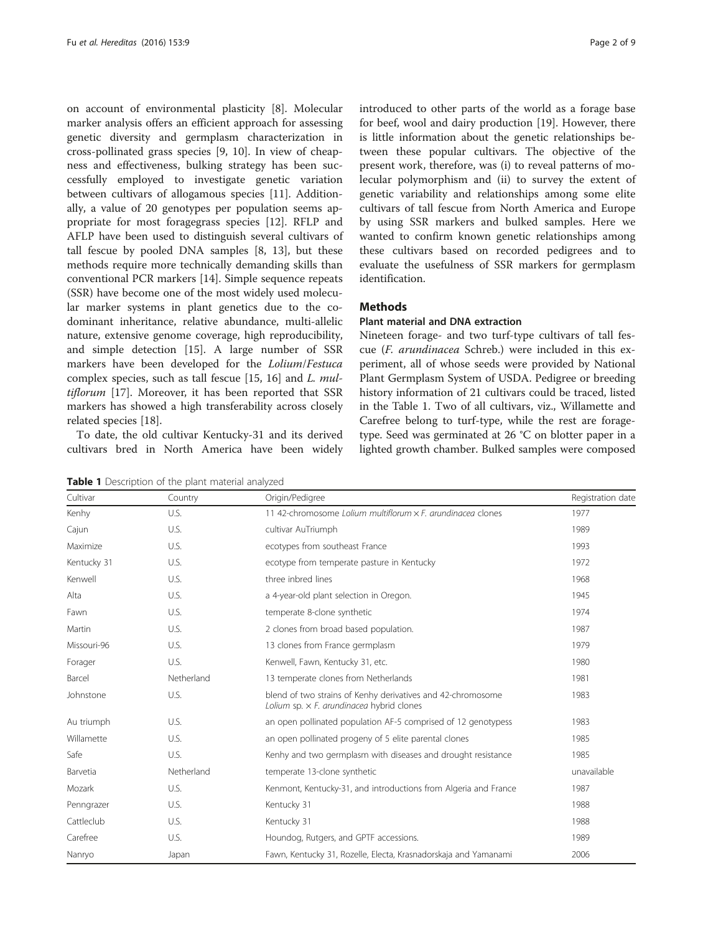<span id="page-1-0"></span>on account of environmental plasticity [\[8](#page-8-0)]. Molecular marker analysis offers an efficient approach for assessing genetic diversity and germplasm characterization in cross-pollinated grass species [[9, 10\]](#page-8-0). In view of cheapness and effectiveness, bulking strategy has been successfully employed to investigate genetic variation between cultivars of allogamous species [\[11](#page-8-0)]. Additionally, a value of 20 genotypes per population seems appropriate for most foragegrass species [\[12](#page-8-0)]. RFLP and AFLP have been used to distinguish several cultivars of tall fescue by pooled DNA samples [[8, 13\]](#page-8-0), but these methods require more technically demanding skills than conventional PCR markers [\[14](#page-8-0)]. Simple sequence repeats (SSR) have become one of the most widely used molecular marker systems in plant genetics due to the codominant inheritance, relative abundance, multi-allelic nature, extensive genome coverage, high reproducibility, and simple detection [\[15](#page-8-0)]. A large number of SSR markers have been developed for the Lolium/Festuca complex species, such as tall fescue  $[15, 16]$  $[15, 16]$  $[15, 16]$  $[15, 16]$  and L. multiflorum [\[17](#page-8-0)]. Moreover, it has been reported that SSR markers has showed a high transferability across closely related species [\[18\]](#page-8-0).

To date, the old cultivar Kentucky-31 and its derived cultivars bred in North America have been widely

Table 1 Description of the plant material analyzed

introduced to other parts of the world as a forage base for beef, wool and dairy production [[19\]](#page-8-0). However, there is little information about the genetic relationships between these popular cultivars. The objective of the present work, therefore, was (i) to reveal patterns of molecular polymorphism and (ii) to survey the extent of genetic variability and relationships among some elite cultivars of tall fescue from North America and Europe by using SSR markers and bulked samples. Here we wanted to confirm known genetic relationships among these cultivars based on recorded pedigrees and to evaluate the usefulness of SSR markers for germplasm identification.

# **Methods**

# Plant material and DNA extraction

Nineteen forage- and two turf-type cultivars of tall fescue (F. arundinacea Schreb.) were included in this experiment, all of whose seeds were provided by National Plant Germplasm System of USDA. Pedigree or breeding history information of 21 cultivars could be traced, listed in the Table 1. Two of all cultivars, viz., Willamette and Carefree belong to turf-type, while the rest are foragetype. Seed was germinated at 26 °C on blotter paper in a lighted growth chamber. Bulked samples were composed

| Cultivar    | Country    | Origin/Pedigree                                                                                                 | Registration date |  |  |
|-------------|------------|-----------------------------------------------------------------------------------------------------------------|-------------------|--|--|
| Kenhy       | U.S.       | 11 42-chromosome Lolium multiflorum x F. arundinacea clones                                                     | 1977              |  |  |
| Cajun       | U.S.       | cultivar AuTriumph                                                                                              | 1989              |  |  |
| Maximize    | U.S.       | ecotypes from southeast France                                                                                  | 1993              |  |  |
| Kentucky 31 | U.S.       | ecotype from temperate pasture in Kentucky                                                                      | 1972              |  |  |
| Kenwell     | U.S.       | three inbred lines                                                                                              | 1968              |  |  |
| Alta        | U.S.       | a 4-year-old plant selection in Oregon.                                                                         | 1945              |  |  |
| Fawn        | U.S.       | temperate 8-clone synthetic                                                                                     | 1974              |  |  |
| Martin      | U.S.       | 2 clones from broad based population.                                                                           | 1987              |  |  |
| Missouri-96 | U.S.       | 13 clones from France germplasm                                                                                 | 1979              |  |  |
| Forager     | U.S.       | Kenwell, Fawn, Kentucky 31, etc.                                                                                | 1980              |  |  |
| Barcel      | Netherland | 13 temperate clones from Netherlands                                                                            | 1981              |  |  |
| Johnstone   | U.S.       | blend of two strains of Kenhy derivatives and 42-chromosome<br>Lolium sp. $\times$ F. arundinacea hybrid clones | 1983              |  |  |
| Au triumph  | U.S.       | an open pollinated population AF-5 comprised of 12 genotypess                                                   | 1983              |  |  |
| Willamette  | U.S.       | an open pollinated progeny of 5 elite parental clones                                                           | 1985              |  |  |
| Safe        | U.S.       | Kenhy and two germplasm with diseases and drought resistance                                                    | 1985              |  |  |
| Barvetia    | Netherland | temperate 13-clone synthetic                                                                                    | unavailable       |  |  |
| Mozark      | U.S.       | Kenmont, Kentucky-31, and introductions from Algeria and France                                                 | 1987              |  |  |
| Penngrazer  | U.S.       | Kentucky 31                                                                                                     | 1988              |  |  |
| Cattleclub  | U.S.       | Kentucky 31                                                                                                     | 1988              |  |  |
| Carefree    | U.S.       | Houndog, Rutgers, and GPTF accessions.                                                                          | 1989              |  |  |
| Nanryo      | Japan      | Fawn, Kentucky 31, Rozelle, Electa, Krasnadorskaja and Yamanami                                                 | 2006              |  |  |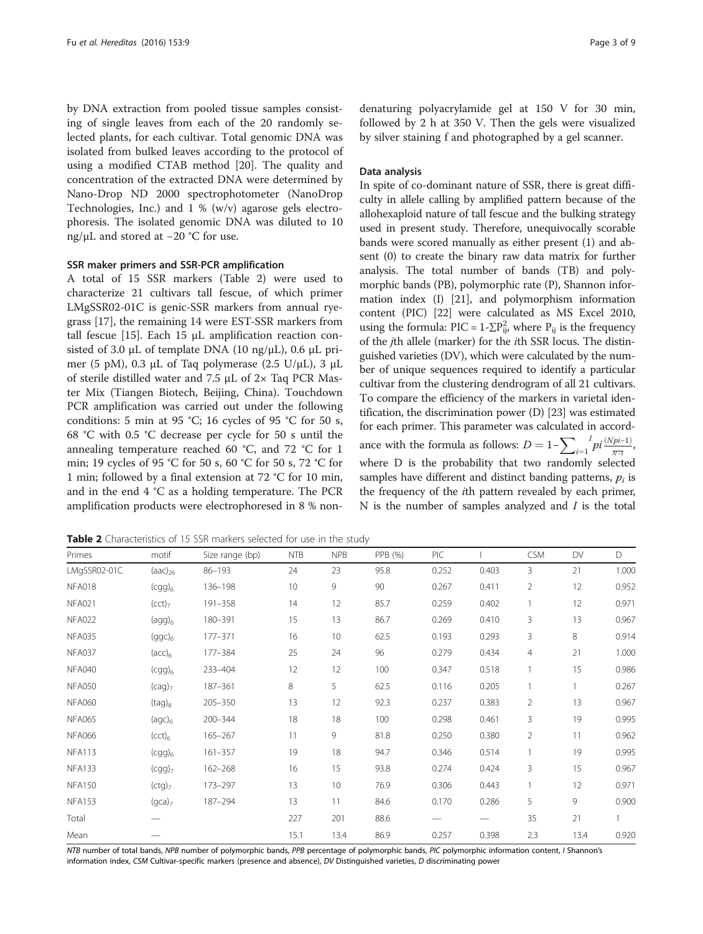<span id="page-2-0"></span>by DNA extraction from pooled tissue samples consisting of single leaves from each of the 20 randomly selected plants, for each cultivar. Total genomic DNA was isolated from bulked leaves according to the protocol of using a modified CTAB method [[20](#page-8-0)]. The quality and concentration of the extracted DNA were determined by Nano-Drop ND 2000 spectrophotometer (NanoDrop Technologies, Inc.) and 1 % (w/v) agarose gels electrophoresis. The isolated genomic DNA was diluted to 10 ng/μL and stored at −20 °C for use.

# SSR maker primers and SSR-PCR amplification

A total of 15 SSR markers (Table 2) were used to characterize 21 cultivars tall fescue, of which primer LMgSSR02-01C is genic-SSR markers from annual ryegrass [\[17\]](#page-8-0), the remaining 14 were EST-SSR markers from tall fescue [[15\]](#page-8-0). Each 15  $\mu$ L amplification reaction consisted of 3.0 μL of template DNA (10 ng/μL), 0.6 μL primer (5 pM), 0.3 μL of Taq polymerase (2.5 U/μL), 3 μL of sterile distilled water and 7.5 μL of 2× Taq PCR Master Mix (Tiangen Biotech, Beijing, China). Touchdown PCR amplification was carried out under the following conditions: 5 min at 95 °C; 16 cycles of 95 °C for 50 s, 68 °C with 0.5 °C decrease per cycle for 50 s until the annealing temperature reached 60 °C, and 72 °C for 1 min; 19 cycles of 95 °C for 50 s, 60 °C for 50 s, 72 °C for 1 min; followed by a final extension at 72 °C for 10 min, and in the end 4 °C as a holding temperature. The PCR amplification products were electrophoresed in 8 % non-

denaturing polyacrylamide gel at 150 V for 30 min, followed by 2 h at 350 V. Then the gels were visualized by silver staining f and photographed by a gel scanner.

#### Data analysis

In spite of co-dominant nature of SSR, there is great difficulty in allele calling by amplified pattern because of the allohexaploid nature of tall fescue and the bulking strategy used in present study. Therefore, unequivocally scorable bands were scored manually as either present (1) and absent (0) to create the binary raw data matrix for further analysis. The total number of bands (TB) and polymorphic bands (PB), polymorphic rate (P), Shannon information index (I) [\[21](#page-8-0)], and polymorphism information content (PIC) [\[22](#page-8-0)] were calculated as MS Excel 2010, using the formula:  $\text{PIC} = 1 - \sum P_{ij}^2$ , where  $P_{ij}$  is the frequency of the jth allele (marker) for the ith SSR locus. The distinguished varieties (DV), which were calculated by the number of unique sequences required to identify a particular cultivar from the clustering dendrogram of all 21 cultivars. To compare the efficiency of the markers in varietal identification, the discrimination power (D) [\[23\]](#page-8-0) was estimated for each primer. This parameter was calculated in accordance with the formula as follows:  $D = 1 - \sum_{i=1}^{\infty}$  $<sup>I</sup>pi \frac{(Npi-1)}{\overline{N-1}}$ </sup> where D is the probability that two randomly selected samples have different and distinct banding patterns,  $p_i$  is the frequency of the ith pattern revealed by each primer, N is the number of samples analyzed and  $I$  is the total

Table 2 Characteristics of 15 SSR markers selected for use in the study

Primes motif Size range (bp) NTB NPB PPB (%) PIC I CSM DV D LMgSSR02-01C (aac)26 86–193 24 23 95.8 0.252 0.403 3 21 1.000 NFA018 (cgg)6 136–198 10 9 90 0.267 0.411 2 12 0.952 NFA021 (cct)<sub>7</sub> 191–358 14 12 85.7 0.259 0.402 1 12 0.971 NFA022 (agg)6 180–391 15 13 86.7 0.269 0.410 3 13 0.967 NFA035 (ggc)6 177–371 16 10 62.5 0.193 0.293 3 8 0.914 NFA037 (acc)6 177–384 25 24 96 0.279 0.434 4 21 1.000 NFA040 (cgg)6 233–404 12 12 100 0.347 0.518 1 15 0.986 NFA050 (cag)<sub>7</sub> 187–361 8 5 62.5 0.116 0.205 1 1 0.267 NFA060 (tag)8 205–350 13 12 92.3 0.237 0.383 2 13 0.967 NFA065 (agc)6 200–344 18 18 100 0.298 0.461 3 19 0.995 NFA066 (cct)6 165–267 11 9 81.8 0.250 0.380 2 11 0.962 NFA113 (cgg)6 161–357 19 18 94.7 0.346 0.514 1 19 0.995 NFA133 (cgg)7 162–268 16 15 93.8 0.274 0.424 3 15 0.967 NFA150 (ctg)7 173–297 13 10 76.9 0.306 0.443 1 12 0.971 NFA153 (gca)<sub>7</sub> 187–294 13 11 84.6 0.170 0.286 5 9 0.900 Total — 227 201 88.6 — — 35 21 1 Mean — 15.1 13.4 86.9 0.257 0.398 2.3 13.4 0.920

NTB number of total bands, NPB number of polymorphic bands, PPB percentage of polymorphic bands, PIC polymorphic information content, I Shannon's information index, CSM Cultivar-specific markers (presence and absence), DV Distinguished varieties, D discriminating power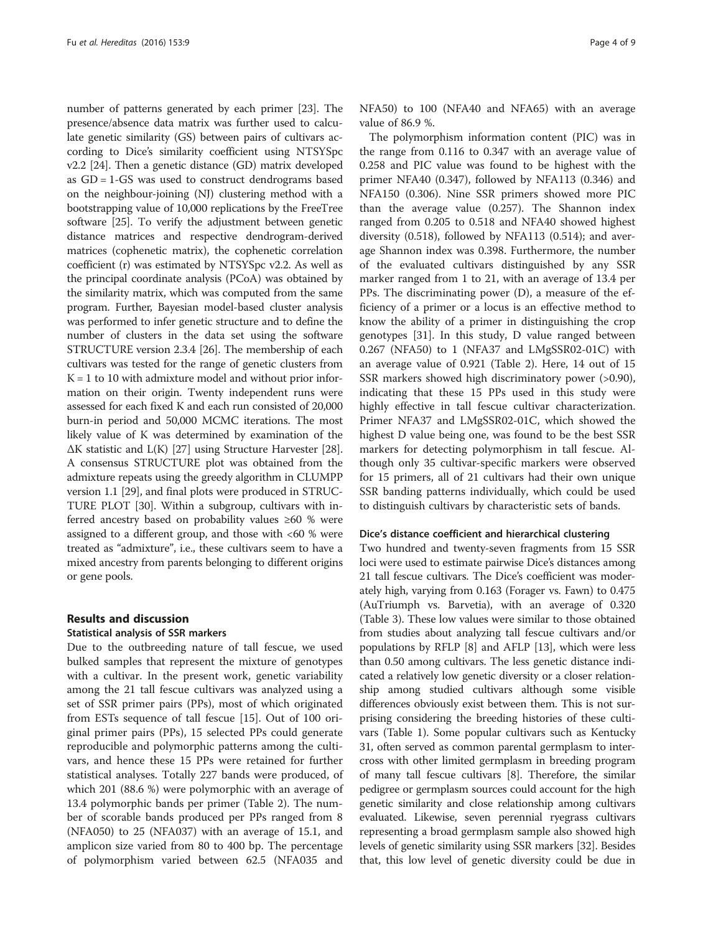number of patterns generated by each primer [\[23](#page-8-0)]. The presence/absence data matrix was further used to calculate genetic similarity (GS) between pairs of cultivars according to Dice's similarity coefficient using NTSYSpc v2.2 [\[24\]](#page-8-0). Then a genetic distance (GD) matrix developed as GD = 1-GS was used to construct dendrograms based on the neighbour-joining (NJ) clustering method with a bootstrapping value of 10,000 replications by the FreeTree software [[25](#page-8-0)]. To verify the adjustment between genetic distance matrices and respective dendrogram-derived matrices (cophenetic matrix), the cophenetic correlation coefficient (r) was estimated by NTSYSpc v2.2. As well as the principal coordinate analysis (PCoA) was obtained by the similarity matrix, which was computed from the same program. Further, Bayesian model-based cluster analysis was performed to infer genetic structure and to define the number of clusters in the data set using the software STRUCTURE version 2.3.4 [\[26\]](#page-8-0). The membership of each cultivars was tested for the range of genetic clusters from  $K = 1$  to 10 with admixture model and without prior information on their origin. Twenty independent runs were assessed for each fixed K and each run consisted of 20,000 burn-in period and 50,000 MCMC iterations. The most likely value of K was determined by examination of the ΔK statistic and L(K) [[27\]](#page-8-0) using Structure Harvester [[28](#page-8-0)]. A consensus STRUCTURE plot was obtained from the admixture repeats using the greedy algorithm in CLUMPP version 1.1 [[29](#page-8-0)], and final plots were produced in STRUC-TURE PLOT [\[30](#page-8-0)]. Within a subgroup, cultivars with inferred ancestry based on probability values ≥60 % were assigned to a different group, and those with <60 % were treated as "admixture", i.e., these cultivars seem to have a mixed ancestry from parents belonging to different origins or gene pools.

# Results and discussion

# Statistical analysis of SSR markers

Due to the outbreeding nature of tall fescue, we used bulked samples that represent the mixture of genotypes with a cultivar. In the present work, genetic variability among the 21 tall fescue cultivars was analyzed using a set of SSR primer pairs (PPs), most of which originated from ESTs sequence of tall fescue [\[15\]](#page-8-0). Out of 100 original primer pairs (PPs), 15 selected PPs could generate reproducible and polymorphic patterns among the cultivars, and hence these 15 PPs were retained for further statistical analyses. Totally 227 bands were produced, of which 201 (88.6 %) were polymorphic with an average of 13.4 polymorphic bands per primer (Table [2](#page-2-0)). The number of scorable bands produced per PPs ranged from 8 (NFA050) to 25 (NFA037) with an average of 15.1, and amplicon size varied from 80 to 400 bp. The percentage of polymorphism varied between 62.5 (NFA035 and NFA50) to 100 (NFA40 and NFA65) with an average value of 86.9 %.

The polymorphism information content (PIC) was in the range from 0.116 to 0.347 with an average value of 0.258 and PIC value was found to be highest with the primer NFA40 (0.347), followed by NFA113 (0.346) and NFA150 (0.306). Nine SSR primers showed more PIC than the average value (0.257). The Shannon index ranged from 0.205 to 0.518 and NFA40 showed highest diversity (0.518), followed by NFA113 (0.514); and average Shannon index was 0.398. Furthermore, the number of the evaluated cultivars distinguished by any SSR marker ranged from 1 to 21, with an average of 13.4 per PPs. The discriminating power (D), a measure of the efficiency of a primer or a locus is an effective method to know the ability of a primer in distinguishing the crop genotypes [\[31\]](#page-8-0). In this study, D value ranged between 0.267 (NFA50) to 1 (NFA37 and LMgSSR02-01C) with an average value of 0.921 (Table [2\)](#page-2-0). Here, 14 out of 15 SSR markers showed high discriminatory power (>0.90), indicating that these 15 PPs used in this study were highly effective in tall fescue cultivar characterization. Primer NFA37 and LMgSSR02-01C, which showed the highest D value being one, was found to be the best SSR markers for detecting polymorphism in tall fescue. Although only 35 cultivar-specific markers were observed for 15 primers, all of 21 cultivars had their own unique SSR banding patterns individually, which could be used to distinguish cultivars by characteristic sets of bands.

#### Dice's distance coefficient and hierarchical clustering

Two hundred and twenty-seven fragments from 15 SSR loci were used to estimate pairwise Dice's distances among 21 tall fescue cultivars. The Dice's coefficient was moderately high, varying from 0.163 (Forager vs. Fawn) to 0.475 (AuTriumph vs. Barvetia), with an average of 0.320 (Table [3](#page-4-0)). These low values were similar to those obtained from studies about analyzing tall fescue cultivars and/or populations by RFLP [[8](#page-8-0)] and AFLP [[13](#page-8-0)], which were less than 0.50 among cultivars. The less genetic distance indicated a relatively low genetic diversity or a closer relationship among studied cultivars although some visible differences obviously exist between them. This is not surprising considering the breeding histories of these cultivars (Table [1](#page-1-0)). Some popular cultivars such as Kentucky 31, often served as common parental germplasm to intercross with other limited germplasm in breeding program of many tall fescue cultivars [[8](#page-8-0)]. Therefore, the similar pedigree or germplasm sources could account for the high genetic similarity and close relationship among cultivars evaluated. Likewise, seven perennial ryegrass cultivars representing a broad germplasm sample also showed high levels of genetic similarity using SSR markers [[32](#page-8-0)]. Besides that, this low level of genetic diversity could be due in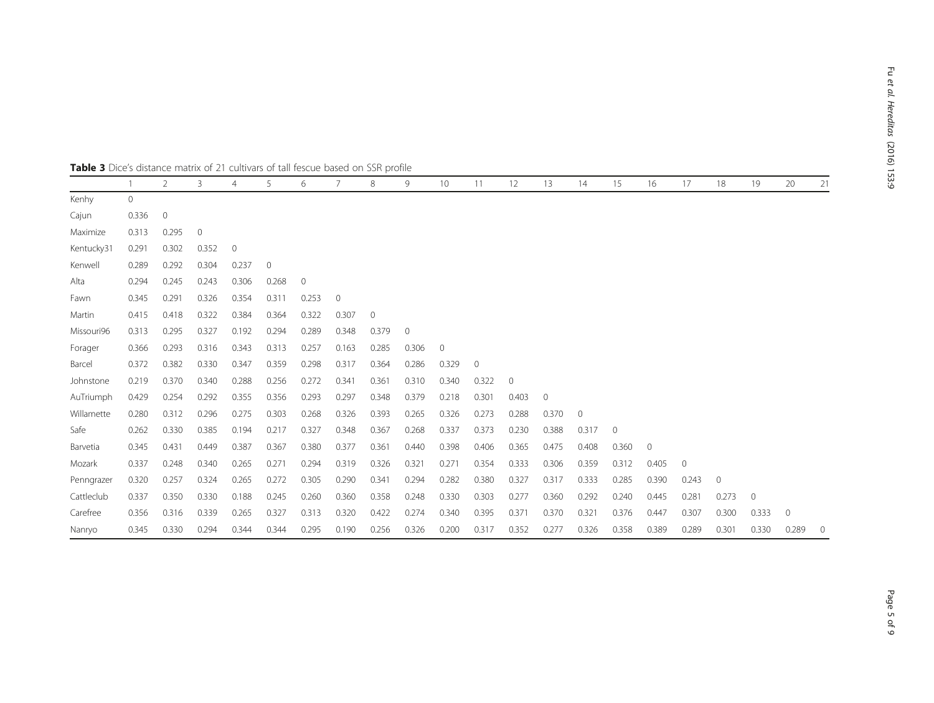|            |       | $\overline{2}$ | 3            | $\overline{4}$ | 5     | 6     | $\overline{7}$ | 8            | 9       | 10          | 11           | 12          | 13      | 14             | 15          | 16          | 17      | 18      | 19             | 20          | 21             |
|------------|-------|----------------|--------------|----------------|-------|-------|----------------|--------------|---------|-------------|--------------|-------------|---------|----------------|-------------|-------------|---------|---------|----------------|-------------|----------------|
| Kenhy      | 0     |                |              |                |       |       |                |              |         |             |              |             |         |                |             |             |         |         |                |             |                |
| Cajun      | 0.336 | $\mathbf 0$    |              |                |       |       |                |              |         |             |              |             |         |                |             |             |         |         |                |             |                |
| Maximize   | 0.313 | 0.295          | $\mathbf{0}$ |                |       |       |                |              |         |             |              |             |         |                |             |             |         |         |                |             |                |
| Kentucky31 | 0.291 | 0.302          | 0.352        | $\mathbf 0$    |       |       |                |              |         |             |              |             |         |                |             |             |         |         |                |             |                |
| Kenwell    | 0.289 | 0.292          | 0.304        | 0.237          | 0     |       |                |              |         |             |              |             |         |                |             |             |         |         |                |             |                |
| Alta       | 0.294 | 0.245          | 0.243        | 0.306          | 0.268 | 0     |                |              |         |             |              |             |         |                |             |             |         |         |                |             |                |
| Fawn       | 0.345 | 0.291          | 0.326        | 0.354          | 0.311 | 0.253 | $\mathbf 0$    |              |         |             |              |             |         |                |             |             |         |         |                |             |                |
| Martin     | 0.415 | 0.418          | 0.322        | 0.384          | 0.364 | 0.322 | 0.307          | $\mathbf{0}$ |         |             |              |             |         |                |             |             |         |         |                |             |                |
| Missouri96 | 0.313 | 0.295          | 0.327        | 0.192          | 0.294 | 0.289 | 0.348          | 0.379        | $\circ$ |             |              |             |         |                |             |             |         |         |                |             |                |
| Forager    | 0.366 | 0.293          | 0.316        | 0.343          | 0.313 | 0.257 | 0.163          | 0.285        | 0.306   | $\mathbf 0$ |              |             |         |                |             |             |         |         |                |             |                |
| Barcel     | 0.372 | 0.382          | 0.330        | 0.347          | 0.359 | 0.298 | 0.317          | 0.364        | 0.286   | 0.329       | $\mathbf{0}$ |             |         |                |             |             |         |         |                |             |                |
| Johnstone  | 0.219 | 0.370          | 0.340        | 0.288          | 0.256 | 0.272 | 0.341          | 0.361        | 0.310   | 0.340       | 0.322        | $\mathbf 0$ |         |                |             |             |         |         |                |             |                |
| AuTriumph  | 0.429 | 0.254          | 0.292        | 0.355          | 0.356 | 0.293 | 0.297          | 0.348        | 0.379   | 0.218       | 0.301        | 0.403       | $\circ$ |                |             |             |         |         |                |             |                |
| Willamette | 0.280 | 0.312          | 0.296        | 0.275          | 0.303 | 0.268 | 0.326          | 0.393        | 0.265   | 0.326       | 0.273        | 0.288       | 0.370   | $\overline{0}$ |             |             |         |         |                |             |                |
| Safe       | 0.262 | 0.330          | 0.385        | 0.194          | 0.217 | 0.327 | 0.348          | 0.367        | 0.268   | 0.337       | 0.373        | 0.230       | 0.388   | 0.317          | $\mathbf 0$ |             |         |         |                |             |                |
| Barvetia   | 0.345 | 0.431          | 0.449        | 0.387          | 0.367 | 0.380 | 0.377          | 0.361        | 0.440   | 0.398       | 0.406        | 0.365       | 0.475   | 0.408          | 0.360       | $\mathbf 0$ |         |         |                |             |                |
| Mozark     | 0.337 | 0.248          | 0.340        | 0.265          | 0.271 | 0.294 | 0.319          | 0.326        | 0.321   | 0.271       | 0.354        | 0.333       | 0.306   | 0.359          | 0.312       | 0.405       | $\circ$ |         |                |             |                |
| Penngrazer | 0.320 | 0.257          | 0.324        | 0.265          | 0.272 | 0.305 | 0.290          | 0.341        | 0.294   | 0.282       | 0.380        | 0.327       | 0.317   | 0.333          | 0.285       | 0.390       | 0.243   | $\circ$ |                |             |                |
| Cattleclub | 0.337 | 0.350          | 0.330        | 0.188          | 0.245 | 0.260 | 0.360          | 0.358        | 0.248   | 0.330       | 0.303        | 0.277       | 0.360   | 0.292          | 0.240       | 0.445       | 0.28    | 0.273   | $\overline{0}$ |             |                |
| Carefree   | 0.356 | 0.316          | 0.339        | 0.265          | 0.327 | 0.313 | 0.320          | 0.422        | 0.274   | 0.340       | 0.395        | 0.371       | 0.370   | 0.321          | 0.376       | 0.447       | 0.307   | 0.300   | 0.333          | $\mathbf 0$ |                |
| Nanryo     | 0.345 | 0.330          | 0.294        | 0.344          | 0.344 | 0.295 | 0.190          | 0.256        | 0.326   | 0.200       | 0.317        | 0.352       | 0.277   | 0.326          | 0.358       | 0.389       | 0.289   | 0.301   | 0.330          | 0.289       | $\overline{0}$ |

<span id="page-4-0"></span>Table 3 Dice's distance matrix of 21 cultivars of tall fescue based on SSR profile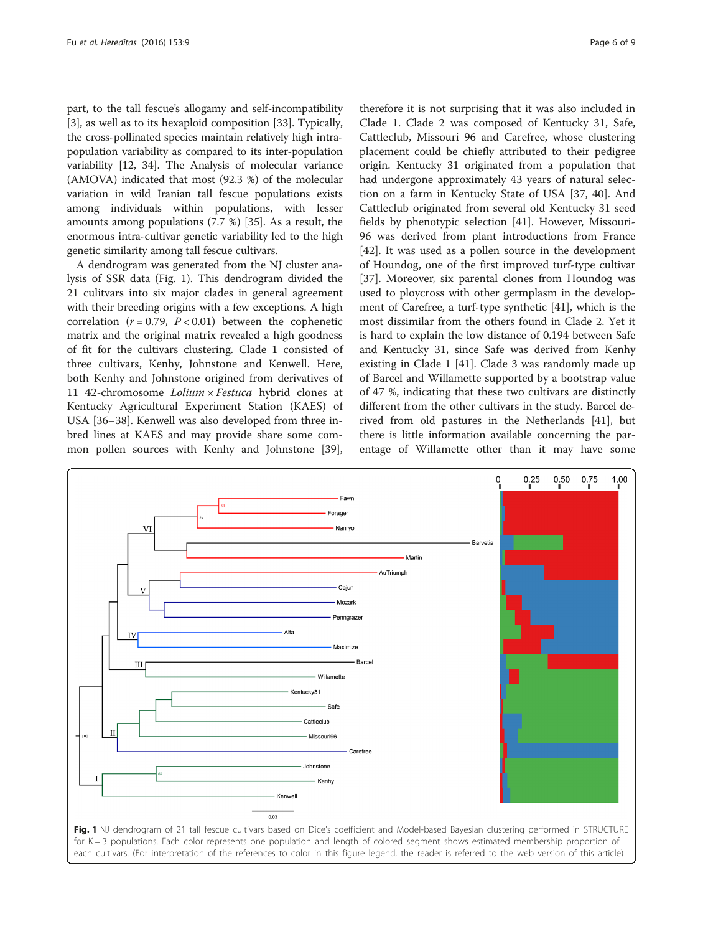<span id="page-5-0"></span>part, to the tall fescue's allogamy and self-incompatibility [[3\]](#page-7-0), as well as to its hexaploid composition [\[33](#page-8-0)]. Typically, the cross-pollinated species maintain relatively high intrapopulation variability as compared to its inter-population variability [[12](#page-8-0), [34](#page-8-0)]. The Analysis of molecular variance (AMOVA) indicated that most (92.3 %) of the molecular variation in wild Iranian tall fescue populations exists among individuals within populations, with lesser amounts among populations (7.7 %) [\[35\]](#page-8-0). As a result, the enormous intra-cultivar genetic variability led to the high genetic similarity among tall fescue cultivars.

A dendrogram was generated from the NJ cluster analysis of SSR data (Fig. 1). This dendrogram divided the 21 culitvars into six major clades in general agreement with their breeding origins with a few exceptions. A high correlation ( $r = 0.79$ ,  $P < 0.01$ ) between the cophenetic matrix and the original matrix revealed a high goodness of fit for the cultivars clustering. Clade 1 consisted of three cultivars, Kenhy, Johnstone and Kenwell. Here, both Kenhy and Johnstone origined from derivatives of 11 42-chromosome Lolium × Festuca hybrid clones at Kentucky Agricultural Experiment Station (KAES) of USA [[36](#page-8-0)–[38](#page-8-0)]. Kenwell was also developed from three inbred lines at KAES and may provide share some common pollen sources with Kenhy and Johnstone [\[39](#page-8-0)],

therefore it is not surprising that it was also included in Clade 1. Clade 2 was composed of Kentucky 31, Safe, Cattleclub, Missouri 96 and Carefree, whose clustering placement could be chiefly attributed to their pedigree origin. Kentucky 31 originated from a population that had undergone approximately 43 years of natural selection on a farm in Kentucky State of USA [\[37](#page-8-0), [40\]](#page-8-0). And Cattleclub originated from several old Kentucky 31 seed fields by phenotypic selection [\[41](#page-8-0)]. However, Missouri-96 was derived from plant introductions from France [[42\]](#page-8-0). It was used as a pollen source in the development of Houndog, one of the first improved turf-type cultivar [[37\]](#page-8-0). Moreover, six parental clones from Houndog was used to ploycross with other germplasm in the development of Carefree, a turf-type synthetic [[41\]](#page-8-0), which is the most dissimilar from the others found in Clade 2. Yet it is hard to explain the low distance of 0.194 between Safe and Kentucky 31, since Safe was derived from Kenhy existing in Clade 1 [[41](#page-8-0)]. Clade 3 was randomly made up of Barcel and Willamette supported by a bootstrap value of 47 %, indicating that these two cultivars are distinctly different from the other cultivars in the study. Barcel derived from old pastures in the Netherlands [\[41](#page-8-0)], but there is little information available concerning the parentage of Willamette other than it may have some

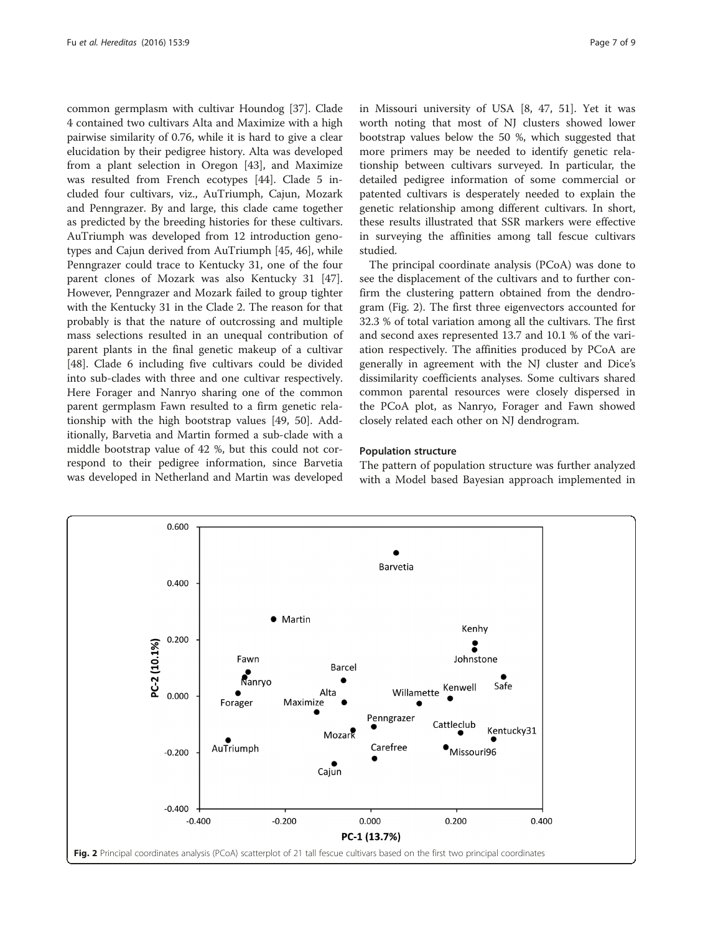common germplasm with cultivar Houndog [\[37](#page-8-0)]. Clade 4 contained two cultivars Alta and Maximize with a high pairwise similarity of 0.76, while it is hard to give a clear elucidation by their pedigree history. Alta was developed from a plant selection in Oregon [[43\]](#page-8-0), and Maximize was resulted from French ecotypes [[44\]](#page-8-0). Clade 5 included four cultivars, viz., AuTriumph, Cajun, Mozark and Penngrazer. By and large, this clade came together as predicted by the breeding histories for these cultivars. AuTriumph was developed from 12 introduction genotypes and Cajun derived from AuTriumph [[45, 46\]](#page-8-0), while Penngrazer could trace to Kentucky 31, one of the four parent clones of Mozark was also Kentucky 31 [\[47](#page-8-0)]. However, Penngrazer and Mozark failed to group tighter with the Kentucky 31 in the Clade 2. The reason for that probably is that the nature of outcrossing and multiple mass selections resulted in an unequal contribution of parent plants in the final genetic makeup of a cultivar [[48\]](#page-8-0). Clade 6 including five cultivars could be divided into sub-clades with three and one cultivar respectively. Here Forager and Nanryo sharing one of the common parent germplasm Fawn resulted to a firm genetic relationship with the high bootstrap values [\[49](#page-8-0), [50\]](#page-8-0). Additionally, Barvetia and Martin formed a sub-clade with a middle bootstrap value of 42 %, but this could not correspond to their pedigree information, since Barvetia was developed in Netherland and Martin was developed in Missouri university of USA [\[8](#page-8-0), [47](#page-8-0), [51](#page-8-0)]. Yet it was worth noting that most of NJ clusters showed lower bootstrap values below the 50 %, which suggested that more primers may be needed to identify genetic relationship between cultivars surveyed. In particular, the detailed pedigree information of some commercial or patented cultivars is desperately needed to explain the genetic relationship among different cultivars. In short, these results illustrated that SSR markers were effective in surveying the affinities among tall fescue cultivars studied.

The principal coordinate analysis (PCoA) was done to see the displacement of the cultivars and to further confirm the clustering pattern obtained from the dendrogram (Fig. 2). The first three eigenvectors accounted for 32.3 % of total variation among all the cultivars. The first and second axes represented 13.7 and 10.1 % of the variation respectively. The affinities produced by PCoA are generally in agreement with the NJ cluster and Dice's dissimilarity coefficients analyses. Some cultivars shared common parental resources were closely dispersed in the PCoA plot, as Nanryo, Forager and Fawn showed closely related each other on NJ dendrogram.

#### Population structure

The pattern of population structure was further analyzed with a Model based Bayesian approach implemented in

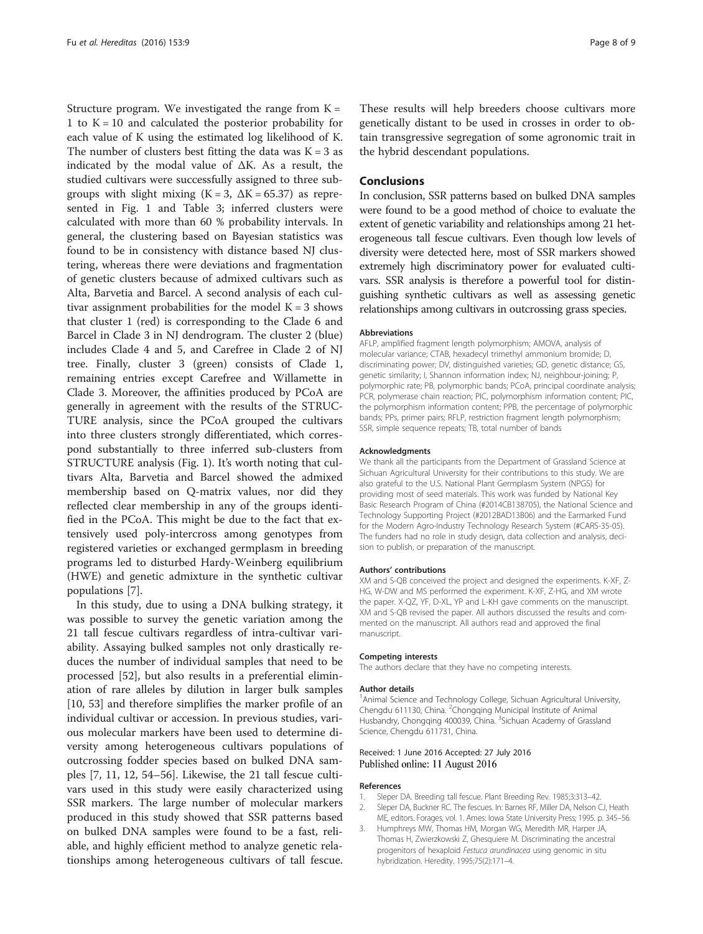<span id="page-7-0"></span>Structure program. We investigated the range from  $K =$ 1 to  $K = 10$  and calculated the posterior probability for each value of K using the estimated log likelihood of K. The number of clusters best fitting the data was  $K = 3$  as indicated by the modal value of ΔK. As a result, the studied cultivars were successfully assigned to three subgroups with slight mixing  $(K = 3, \Delta K = 65.37)$  as represented in Fig. [1](#page-5-0) and Table [3](#page-4-0); inferred clusters were calculated with more than 60 % probability intervals. In general, the clustering based on Bayesian statistics was found to be in consistency with distance based NJ clustering, whereas there were deviations and fragmentation of genetic clusters because of admixed cultivars such as Alta, Barvetia and Barcel. A second analysis of each cultivar assignment probabilities for the model  $K = 3$  shows that cluster 1 (red) is corresponding to the Clade 6 and Barcel in Clade 3 in NJ dendrogram. The cluster 2 (blue) includes Clade 4 and 5, and Carefree in Clade 2 of NJ tree. Finally, cluster 3 (green) consists of Clade 1, remaining entries except Carefree and Willamette in Clade 3. Moreover, the affinities produced by PCoA are generally in agreement with the results of the STRUC-TURE analysis, since the PCoA grouped the cultivars into three clusters strongly differentiated, which correspond substantially to three inferred sub-clusters from STRUCTURE analysis (Fig. [1](#page-5-0)). It's worth noting that cultivars Alta, Barvetia and Barcel showed the admixed membership based on Q-matrix values, nor did they reflected clear membership in any of the groups identified in the PCoA. This might be due to the fact that extensively used poly-intercross among genotypes from registered varieties or exchanged germplasm in breeding programs led to disturbed Hardy-Weinberg equilibrium (HWE) and genetic admixture in the synthetic cultivar populations [[7\]](#page-8-0).

In this study, due to using a DNA bulking strategy, it was possible to survey the genetic variation among the 21 tall fescue cultivars regardless of intra-cultivar variability. Assaying bulked samples not only drastically reduces the number of individual samples that need to be processed [[52\]](#page-8-0), but also results in a preferential elimination of rare alleles by dilution in larger bulk samples [[10, 53\]](#page-8-0) and therefore simplifies the marker profile of an individual cultivar or accession. In previous studies, various molecular markers have been used to determine diversity among heterogeneous cultivars populations of outcrossing fodder species based on bulked DNA samples [\[7](#page-8-0), [11](#page-8-0), [12, 54](#page-8-0)–[56\]](#page-8-0). Likewise, the 21 tall fescue cultivars used in this study were easily characterized using SSR markers. The large number of molecular markers produced in this study showed that SSR patterns based on bulked DNA samples were found to be a fast, reliable, and highly efficient method to analyze genetic relationships among heterogeneous cultivars of tall fescue.

These results will help breeders choose cultivars more genetically distant to be used in crosses in order to obtain transgressive segregation of some agronomic trait in the hybrid descendant populations.

### **Conclusions**

In conclusion, SSR patterns based on bulked DNA samples were found to be a good method of choice to evaluate the extent of genetic variability and relationships among 21 heterogeneous tall fescue cultivars. Even though low levels of diversity were detected here, most of SSR markers showed extremely high discriminatory power for evaluated cultivars. SSR analysis is therefore a powerful tool for distinguishing synthetic cultivars as well as assessing genetic relationships among cultivars in outcrossing grass species.

#### Abbreviations

AFLP, amplified fragment length polymorphism; AMOVA, analysis of molecular variance; CTAB, hexadecyl trimethyl ammonium bromide; D, discriminating power; DV, distinguished varieties; GD, genetic distance; GS, genetic similarity; I, Shannon information index; NJ, neighbour-joining; P, polymorphic rate; PB, polymorphic bands; PCoA, principal coordinate analysis; PCR, polymerase chain reaction; PIC, polymorphism information content; PIC, the polymorphism information content; PPB, the percentage of polymorphic bands; PPs, primer pairs; RFLP, restriction fragment length polymorphism; SSR, simple sequence repeats; TB, total number of bands

#### Acknowledgments

We thank all the participants from the Department of Grassland Science at Sichuan Agricultural University for their contributions to this study. We are also grateful to the U.S. National Plant Germplasm System (NPGS) for providing most of seed materials. This work was funded by National Key Basic Research Program of China (#2014CB138705), the National Science and Technology Supporting Project (#2012BAD13B06) and the Earmarked Fund for the Modern Agro-Industry Technology Research System (#CARS-35-05). The funders had no role in study design, data collection and analysis, decision to publish, or preparation of the manuscript.

#### Authors' contributions

XM and S-QB conceived the project and designed the experiments. K-XF, Z-HG, W-DW and MS performed the experiment. K-XF, Z-HG, and XM wrote the paper. X-QZ, YF, D-XL, YP and L-KH gave comments on the manuscript. XM and S-QB revised the paper. All authors discussed the results and commented on the manuscript. All authors read and approved the final manuscript.

#### Competing interests

The authors declare that they have no competing interests.

#### Author details

<sup>1</sup> Animal Science and Technology College, Sichuan Agricultural University, Chengdu 611130, China. <sup>2</sup>Chongqing Municipal Institute of Animal Husbandry, Chongqing 400039, China. <sup>3</sup>Sichuan Academy of Grassland Science, Chengdu 611731, China.

#### Received: 1 June 2016 Accepted: 27 July 2016 Published online: 11 August 2016

#### References

- 1. Sleper DA. Breeding tall fescue. Plant Breeding Rev. 1985;3:313–42.
- 2. Sleper DA, Buckner RC. The fescues. In: Barnes RF, Miller DA, Nelson CJ, Heath ME, editors. Forages, vol. 1. Ames: Iowa State University Press; 1995. p. 345–56.
- 3. Humphreys MW, Thomas HM, Morgan WG, Meredith MR, Harper JA, Thomas H, Zwierzkowski Z, Ghesquiere M. Discriminating the ancestral progenitors of hexaploid Festuca arundinacea using genomic in situ hybridization. Heredity. 1995;75(2):171–4.